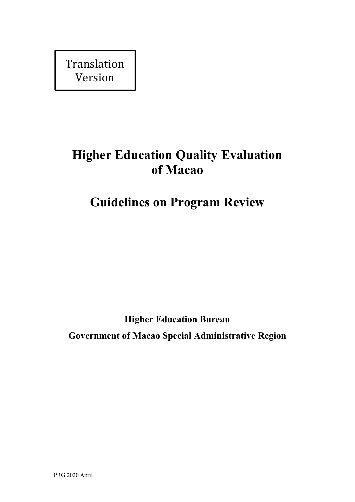Translation Version

# **Higher Education Quality Evaluation of Macao**

# **Guidelines on Program Review**

**Higher Education Bureau Government of Macao Special Administrative Region**

PRG 2020 April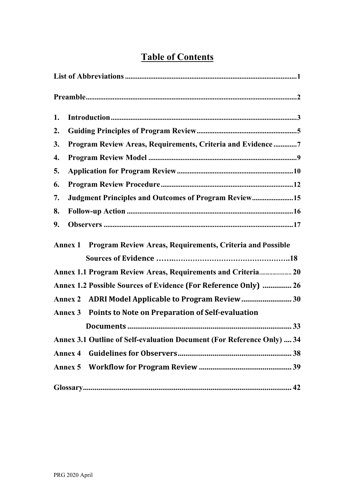## **Table of Contents**

| 1. |                                                                        |  |
|----|------------------------------------------------------------------------|--|
| 2. |                                                                        |  |
| 3. | Program Review Areas, Requirements, Criteria and Evidence 7            |  |
| 4. |                                                                        |  |
| 5. |                                                                        |  |
| 6. |                                                                        |  |
| 7. | <b>Judgment Principles and Outcomes of Program Review15</b>            |  |
| 8. |                                                                        |  |
| 9. |                                                                        |  |
|    | Annex 1 Program Review Areas, Requirements, Criteria and Possible      |  |
|    |                                                                        |  |
|    | Annex 1.1 Program Review Areas, Requirements and Criteria 20           |  |
|    | Annex 1.2 Possible Sources of Evidence (For Reference Only)  26        |  |
|    |                                                                        |  |
|    | Annex 3 Points to Note on Preparation of Self-evaluation               |  |
|    |                                                                        |  |
|    | Annex 3.1 Outline of Self-evaluation Document (For Reference Only)  34 |  |
|    |                                                                        |  |
|    |                                                                        |  |
|    |                                                                        |  |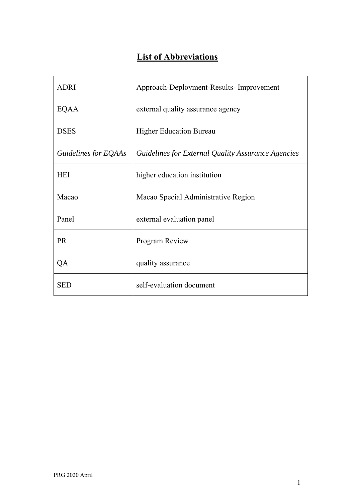## **List of Abbreviations**

| <b>ADRI</b>          | Approach-Deployment-Results- Improvement           |
|----------------------|----------------------------------------------------|
| EQAA                 | external quality assurance agency                  |
| <b>DSES</b>          | <b>Higher Education Bureau</b>                     |
| Guidelines for EQAAs | Guidelines for External Quality Assurance Agencies |
| <b>HEI</b>           | higher education institution                       |
| Macao                | Macao Special Administrative Region                |
| Panel                | external evaluation panel                          |
| <b>PR</b>            | Program Review                                     |
| QA                   | quality assurance                                  |
| <b>SED</b>           | self-evaluation document                           |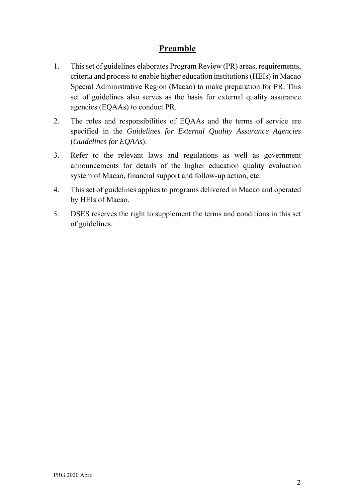## **Preamble**

- 1. This set of guidelines elaborates Program Review (PR) areas, requirements, criteria and process to enable higher education institutions (HEIs) in Macao Special Administrative Region (Macao) to make preparation for PR. This set of guidelines also serves as the basis for external quality assurance agencies (EQAAs) to conduct PR.
- 2. The roles and responsibilities of EQAAs and the terms of service are specified in the *Guidelines for External Quality Assurance Agencies*  (*Guidelines for EQAAs*).
- 3. Refer to the relevant laws and regulations as well as government announcements for details of the higher education quality evaluation system of Macao, financial support and follow-up action, etc.
- 4. This set of guidelines applies to programs delivered in Macao and operated by HEIs of Macao.
- 5. DSES reserves the right to supplement the terms and conditions in this set of guidelines.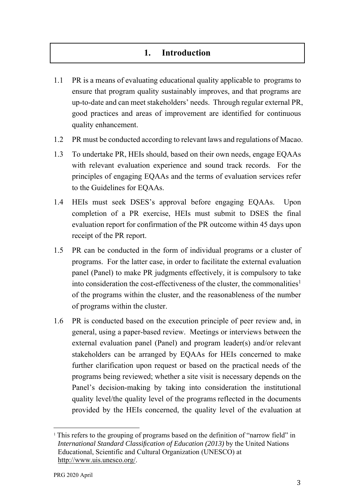## **1. Introduction**

- 1.1 PR is a means of evaluating educational quality applicable to programs to ensure that program quality sustainably improves, and that programs are up-to-date and can meet stakeholders' needs. Through regular external PR, good practices and areas of improvement are identified for continuous quality enhancement.
- 1.2 PR must be conducted according to relevant laws and regulations of Macao.
- 1.3 To undertake PR, HEIs should, based on their own needs, engage EQAAs with relevant evaluation experience and sound track records. For the principles of engaging EQAAs and the terms of evaluation services refer to the Guidelines for EQAAs.
- 1.4 HEIs must seek DSES's approval before engaging EQAAs. Upon completion of a PR exercise, HEIs must submit to DSES the final evaluation report for confirmation of the PR outcome within 45 days upon receipt of the PR report.
- 1.5 PR can be conducted in the form of individual programs or a cluster of programs. For the latter case, in order to facilitate the external evaluation panel (Panel) to make PR judgments effectively, it is compulsory to take into consideration the cost-effectiveness of the cluster, the commonalities<sup>1</sup> of the programs within the cluster, and the reasonableness of the number of programs within the cluster.
- 1.6 PR is conducted based on the execution principle of peer review and, in general, using a paper-based review. Meetings or interviews between the external evaluation panel (Panel) and program leader(s) and/or relevant stakeholders can be arranged by EQAAs for HEIs concerned to make further clarification upon request or based on the practical needs of the programs being reviewed; whether a site visit is necessary depends on the Panel's decision-making by taking into consideration the institutional quality level/the quality level of the programs reflected in the documents provided by the HEIs concerned, the quality level of the evaluation at

<u>.</u>

<sup>&</sup>lt;sup>1</sup> This refers to the grouping of programs based on the definition of "narrow field" in *International Standard Classification of Education (2013)* by the United Nations Educational, Scientific and Cultural Organization (UNESCO) at http://www.uis.unesco.org/.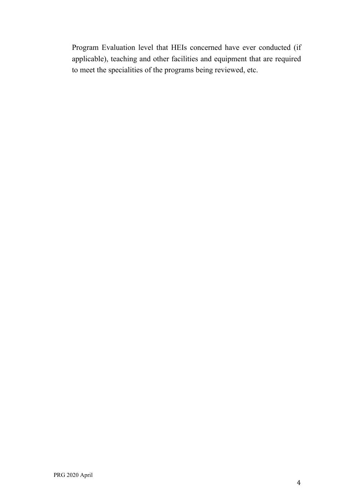Program Evaluation level that HEIs concerned have ever conducted (if applicable), teaching and other facilities and equipment that are required to meet the specialities of the programs being reviewed, etc.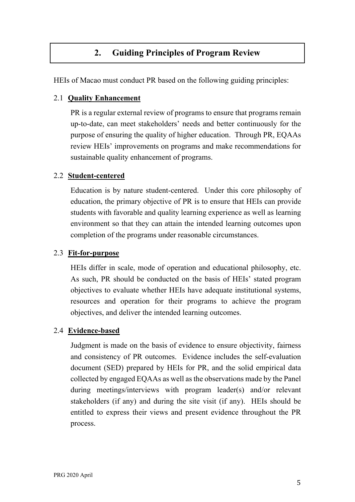## **2. Guiding Principles of Program Review**

HEIs of Macao must conduct PR based on the following guiding principles:

#### 2.1 **Quality Enhancement**

PR is a regular external review of programs to ensure that programs remain up-to-date, can meet stakeholders' needs and better continuously for the purpose of ensuring the quality of higher education. Through PR, EQAAs review HEIs' improvements on programs and make recommendations for sustainable quality enhancement of programs.

#### 2.2 **Student-centered**

Education is by nature student-centered. Under this core philosophy of education, the primary objective of PR is to ensure that HEIs can provide students with favorable and quality learning experience as well as learning environment so that they can attain the intended learning outcomes upon completion of the programs under reasonable circumstances.

#### 2.3 **Fit-for-purpose**

HEIs differ in scale, mode of operation and educational philosophy, etc. As such, PR should be conducted on the basis of HEIs' stated program objectives to evaluate whether HEIs have adequate institutional systems, resources and operation for their programs to achieve the program objectives, and deliver the intended learning outcomes.

#### 2.4 **Evidence-based**

Judgment is made on the basis of evidence to ensure objectivity, fairness and consistency of PR outcomes. Evidence includes the self-evaluation document (SED) prepared by HEIs for PR, and the solid empirical data collected by engaged EQAAs as well as the observations made by the Panel during meetings/interviews with program leader(s) and/or relevant stakeholders (if any) and during the site visit (if any). HEIs should be entitled to express their views and present evidence throughout the PR process.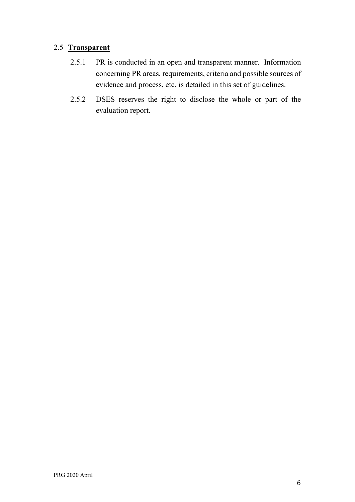#### 2.5 **Transparent**

- 2.5.1 PR is conducted in an open and transparent manner. Information concerning PR areas, requirements, criteria and possible sources of evidence and process, etc. is detailed in this set of guidelines.
- 2.5.2 DSES reserves the right to disclose the whole or part of the evaluation report.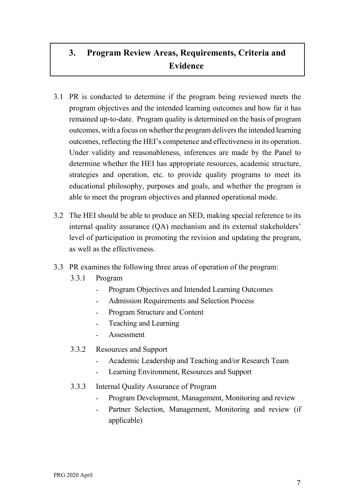## **3. Program Review Areas, Requirements, Criteria and Evidence**

- 3.1 PR is conducted to determine if the program being reviewed meets the program objectives and the intended learning outcomes and how far it has remained up-to-date. Program quality is determined on the basis of program outcomes, with a focus on whether the program delivers the intended learning outcomes, reflecting the HEI's competence and effectiveness in its operation. Under validity and reasonableness, inferences are made by the Panel to determine whether the HEI has appropriate resources, academic structure, strategies and operation, etc. to provide quality programs to meet its educational philosophy, purposes and goals, and whether the program is able to meet the program objectives and planned operational mode.
- 3.2 The HEI should be able to produce an SED, making special reference to its internal quality assurance (QA) mechanism and its external stakeholders' level of participation in promoting the revision and updating the program, as well as the effectiveness.
- 3.3 PR examines the following three areas of operation of the program:
	- 3.3.1 Program
		- Program Objectives and Intended Learning Outcomes
		- Admission Requirements and Selection Process
		- Program Structure and Content
		- Teaching and Learning
		- Assessment
	- 3.3.2 Resources and Support
		- Academic Leadership and Teaching and/or Research Team
		- Learning Environment, Resources and Support
	- 3.3.3 Internal Quality Assurance of Program
		- Program Development, Management, Monitoring and review
		- Partner Selection, Management, Monitoring and review (if applicable)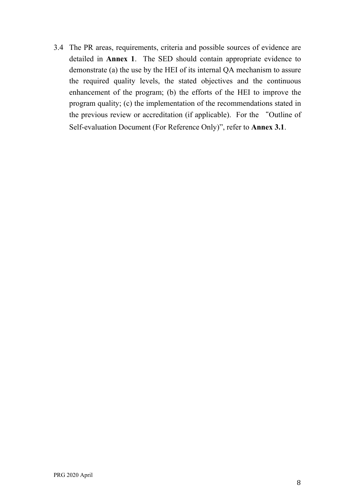3.4 The PR areas, requirements, criteria and possible sources of evidence are detailed in **Annex 1**. The SED should contain appropriate evidence to demonstrate (a) the use by the HEI of its internal QA mechanism to assure the required quality levels, the stated objectives and the continuous enhancement of the program; (b) the efforts of the HEI to improve the program quality; (c) the implementation of the recommendations stated in the previous review or accreditation (if applicable). For the "Outline of Self-evaluation Document (For Reference Only)", refer to **Annex 3.1**.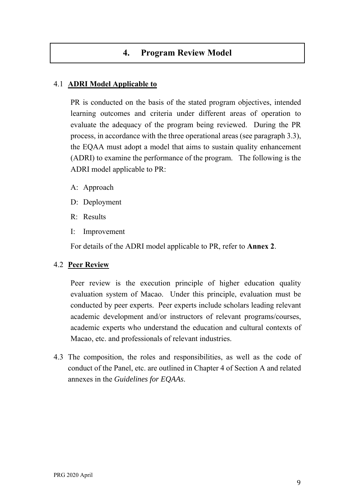## **4. Program Review Model**

#### 4.1 **ADRI Model Applicable to**

PR is conducted on the basis of the stated program objectives, intended learning outcomes and criteria under different areas of operation to evaluate the adequacy of the program being reviewed. During the PR process, in accordance with the three operational areas (see paragraph 3.3), the EQAA must adopt a model that aims to sustain quality enhancement (ADRI) to examine the performance of the program. The following is the ADRI model applicable to PR:

- A: Approach
- D: Deployment
- R: Results
- I: Improvement

For details of the ADRI model applicable to PR, refer to **Annex 2**.

#### 4.2 **Peer Review**

Peer review is the execution principle of higher education quality evaluation system of Macao. Under this principle, evaluation must be conducted by peer experts. Peer experts include scholars leading relevant academic development and/or instructors of relevant programs/courses, academic experts who understand the education and cultural contexts of Macao, etc. and professionals of relevant industries.

4.3 The composition, the roles and responsibilities, as well as the code of conduct of the Panel, etc. are outlined in Chapter 4 of Section A and related annexes in the *Guidelines for EQAAs*.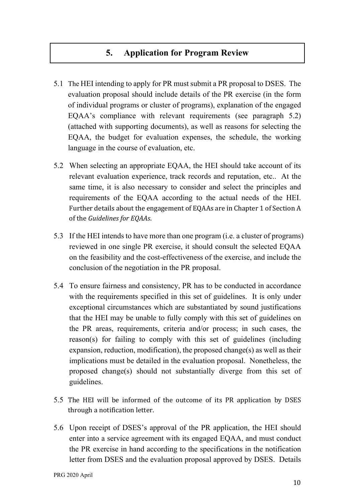## **5. Application for Program Review**

- 5.1 The HEI intending to apply for PR must submit a PR proposal to DSES. The evaluation proposal should include details of the PR exercise (in the form of individual programs or cluster of programs), explanation of the engaged EQAA's compliance with relevant requirements (see paragraph 5.2) (attached with supporting documents), as well as reasons for selecting the EQAA, the budget for evaluation expenses, the schedule, the working language in the course of evaluation, etc.
- 5.2 When selecting an appropriate EQAA, the HEI should take account of its relevant evaluation experience, track records and reputation, etc.. At the same time, it is also necessary to consider and select the principles and requirements of the EQAA according to the actual needs of the HEI. Further details about the engagement of EQAAs are in Chapter 1 of Section A of the *Guidelines for EQAAs*.
- 5.3 If the HEI intends to have more than one program (i.e. a cluster of programs) reviewed in one single PR exercise, it should consult the selected EQAA on the feasibility and the cost-effectiveness of the exercise, and include the conclusion of the negotiation in the PR proposal.
- 5.4 To ensure fairness and consistency, PR has to be conducted in accordance with the requirements specified in this set of guidelines. It is only under exceptional circumstances which are substantiated by sound justifications that the HEI may be unable to fully comply with this set of guidelines on the PR areas, requirements, criteria and/or process; in such cases, the reason(s) for failing to comply with this set of guidelines (including expansion, reduction, modification), the proposed change(s) as well as their implications must be detailed in the evaluation proposal. Nonetheless, the proposed change(s) should not substantially diverge from this set of guidelines.
- 5.5 The HEI will be informed of the outcome of its PR application by DSES through a notification letter.
- 5.6 Upon receipt of DSES's approval of the PR application, the HEI should enter into a service agreement with its engaged EQAA, and must conduct the PR exercise in hand according to the specifications in the notification letter from DSES and the evaluation proposal approved by DSES. Details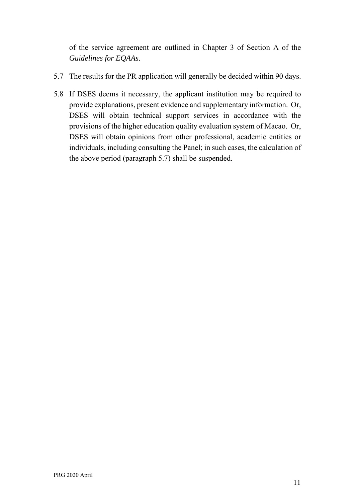of the service agreement are outlined in Chapter 3 of Section A of the *Guidelines for EQAAs*.

- 5.7 The results for the PR application will generally be decided within 90 days.
- 5.8 If DSES deems it necessary, the applicant institution may be required to provide explanations, present evidence and supplementary information. Or, DSES will obtain technical support services in accordance with the provisions of the higher education quality evaluation system of Macao. Or, DSES will obtain opinions from other professional, academic entities or individuals, including consulting the Panel; in such cases, the calculation of the above period (paragraph 5.7) shall be suspended.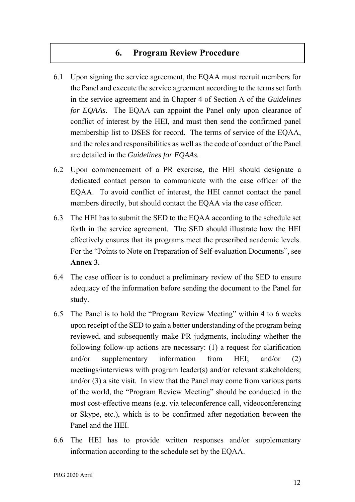## **6. Program Review Procedure**

- 6.1 Upon signing the service agreement, the EQAA must recruit members for the Panel and execute the service agreement according to the terms set forth in the service agreement and in Chapter 4 of Section A of the *Guidelines for EQAAs*. The EQAA can appoint the Panel only upon clearance of conflict of interest by the HEI, and must then send the confirmed panel membership list to DSES for record. The terms of service of the EQAA, and the roles and responsibilities as well as the code of conduct of the Panel are detailed in the *Guidelines for EQAAs.*
- 6.2 Upon commencement of a PR exercise, the HEI should designate a dedicated contact person to communicate with the case officer of the EQAA. To avoid conflict of interest, the HEI cannot contact the panel members directly, but should contact the EQAA via the case officer.
- 6.3 The HEI has to submit the SED to the EQAA according to the schedule set forth in the service agreement. The SED should illustrate how the HEI effectively ensures that its programs meet the prescribed academic levels. For the "Points to Note on Preparation of Self-evaluation Documents", see **Annex 3**.
- 6.4 The case officer is to conduct a preliminary review of the SED to ensure adequacy of the information before sending the document to the Panel for study.
- 6.5 The Panel is to hold the "Program Review Meeting" within 4 to 6 weeks upon receipt of the SED to gain a better understanding of the program being reviewed, and subsequently make PR judgments, including whether the following follow-up actions are necessary: (1) a request for clarification and/or supplementary information from HEI; and/or (2) meetings/interviews with program leader(s) and/or relevant stakeholders; and/or (3) a site visit. In view that the Panel may come from various parts of the world, the "Program Review Meeting" should be conducted in the most cost-effective means (e.g. via teleconference call, videoconferencing or Skype, etc.), which is to be confirmed after negotiation between the Panel and the HEI.
- 6.6 The HEI has to provide written responses and/or supplementary information according to the schedule set by the EQAA.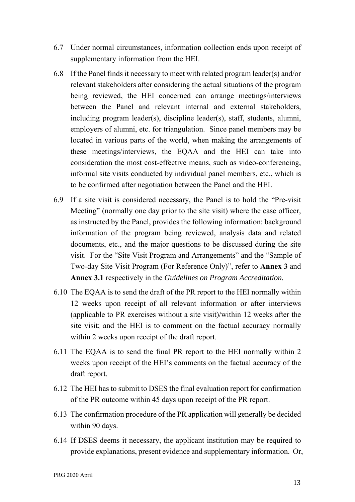- 6.7 Under normal circumstances, information collection ends upon receipt of supplementary information from the HEI.
- 6.8 If the Panel finds it necessary to meet with related program leader(s) and/or relevant stakeholders after considering the actual situations of the program being reviewed, the HEI concerned can arrange meetings/interviews between the Panel and relevant internal and external stakeholders, including program leader(s), discipline leader(s), staff, students, alumni, employers of alumni, etc. for triangulation. Since panel members may be located in various parts of the world, when making the arrangements of these meetings/interviews, the EQAA and the HEI can take into consideration the most cost-effective means, such as video-conferencing, informal site visits conducted by individual panel members, etc., which is to be confirmed after negotiation between the Panel and the HEI.
- 6.9 If a site visit is considered necessary, the Panel is to hold the "Pre-visit Meeting" (normally one day prior to the site visit) where the case officer, as instructed by the Panel, provides the following information: background information of the program being reviewed, analysis data and related documents, etc., and the major questions to be discussed during the site visit. For the "Site Visit Program and Arrangements" and the "Sample of Two-day Site Visit Program (For Reference Only)", refer to **Annex 3** and **Annex 3.1** respectively in the *Guidelines on Program Accreditation.*
- 6.10 The EQAA is to send the draft of the PR report to the HEI normally within 12 weeks upon receipt of all relevant information or after interviews (applicable to PR exercises without a site visit)/within 12 weeks after the site visit; and the HEI is to comment on the factual accuracy normally within 2 weeks upon receipt of the draft report.
- 6.11 The EQAA is to send the final PR report to the HEI normally within 2 weeks upon receipt of the HEI's comments on the factual accuracy of the draft report.
- 6.12 The HEI has to submit to DSES the final evaluation report for confirmation of the PR outcome within 45 days upon receipt of the PR report.
- 6.13 The confirmation procedure of the PR application will generally be decided within 90 days.
- 6.14 If DSES deems it necessary, the applicant institution may be required to provide explanations, present evidence and supplementary information. Or,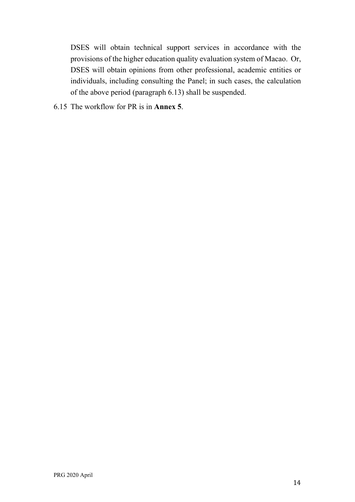DSES will obtain technical support services in accordance with the provisions of the higher education quality evaluation system of Macao. Or, DSES will obtain opinions from other professional, academic entities or individuals, including consulting the Panel; in such cases, the calculation of the above period (paragraph 6.13) shall be suspended.

6.15 The workflow for PR is in **Annex 5**.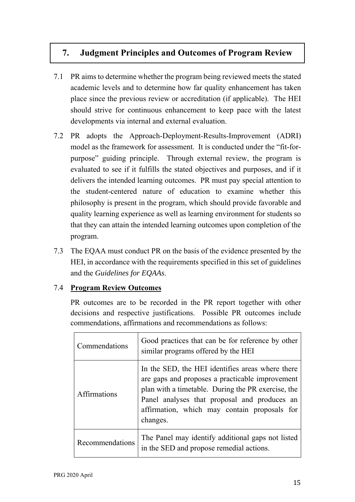## **7. Judgment Principles and Outcomes of Program Review**

- 7.1 PR aims to determine whether the program being reviewed meets the stated academic levels and to determine how far quality enhancement has taken place since the previous review or accreditation (if applicable). The HEI should strive for continuous enhancement to keep pace with the latest developments via internal and external evaluation.
- 7.2 PR adopts the Approach-Deployment-Results-Improvement (ADRI) model as the framework for assessment. It is conducted under the "fit-forpurpose" guiding principle. Through external review, the program is evaluated to see if it fulfills the stated objectives and purposes, and if it delivers the intended learning outcomes. PR must pay special attention to the student-centered nature of education to examine whether this philosophy is present in the program, which should provide favorable and quality learning experience as well as learning environment for students so that they can attain the intended learning outcomes upon completion of the program.
- 7.3 The EQAA must conduct PR on the basis of the evidence presented by the HEI, in accordance with the requirements specified in this set of guidelines and the *Guidelines for EQAAs*.

#### 7.4 **Program Review Outcomes**

PR outcomes are to be recorded in the PR report together with other decisions and respective justifications. Possible PR outcomes include commendations, affirmations and recommendations as follows:

| Commendations       | Good practices that can be for reference by other<br>similar programs offered by the HEI                                                                                                                                                                              |
|---------------------|-----------------------------------------------------------------------------------------------------------------------------------------------------------------------------------------------------------------------------------------------------------------------|
| <b>Affirmations</b> | In the SED, the HEI identifies areas where there<br>are gaps and proposes a practicable improvement<br>plan with a timetable. During the PR exercise, the<br>Panel analyses that proposal and produces an<br>affirmation, which may contain proposals for<br>changes. |
| Recommendations     | The Panel may identify additional gaps not listed<br>in the SED and propose remedial actions.                                                                                                                                                                         |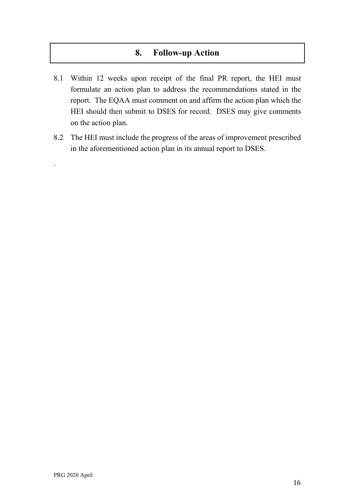### **8. Follow-up Action**

- 8.1 Within 12 weeks upon receipt of the final PR report, the HEI must formulate an action plan to address the recommendations stated in the report. The EQAA must comment on and affirm the action plan which the HEI should then submit to DSES for record. DSES may give comments on the action plan.
- 8.2 The HEI must include the progress of the areas of improvement prescribed in the aforementioned action plan in its annual report to DSES.

.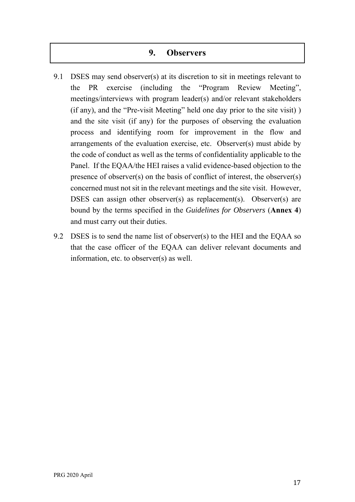#### **9. Observers**

- 9.1 DSES may send observer(s) at its discretion to sit in meetings relevant to the PR exercise (including the "Program Review Meeting", meetings/interviews with program leader(s) and/or relevant stakeholders (if any), and the "Pre-visit Meeting" held one day prior to the site visit) ) and the site visit (if any) for the purposes of observing the evaluation process and identifying room for improvement in the flow and arrangements of the evaluation exercise, etc. Observer(s) must abide by the code of conduct as well as the terms of confidentiality applicable to the Panel. If the EQAA/the HEI raises a valid evidence-based objection to the presence of observer(s) on the basis of conflict of interest, the observer(s) concerned must not sit in the relevant meetings and the site visit. However, DSES can assign other observer(s) as replacement(s). Observer(s) are bound by the terms specified in the *Guidelines for Observers* (**Annex 4**) and must carry out their duties.
- 9.2 DSES is to send the name list of observer(s) to the HEI and the EQAA so that the case officer of the EQAA can deliver relevant documents and information, etc. to observer(s) as well.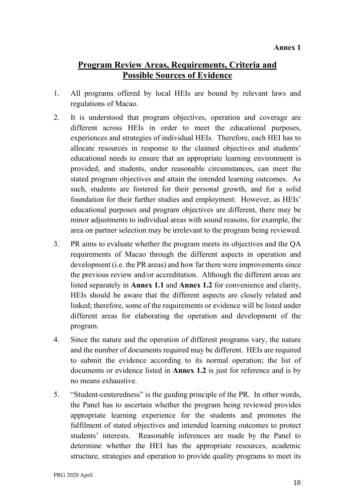## **Program Review Areas, Requirements, Criteria and Possible Sources of Evidence**

- 1. All programs offered by local HEIs are bound by relevant laws and regulations of Macao.
- 2. It is understood that program objectives, operation and coverage are different across HEIs in order to meet the educational purposes, experiences and strategies of individual HEIs. Therefore, each HEI has to allocate resources in response to the claimed objectives and students' educational needs to ensure that an appropriate learning environment is provided, and students, under reasonable circumstances, can meet the stated program objectives and attain the intended learning outcomes. As such, students are fostered for their personal growth, and for a solid foundation for their further studies and employment. However, as HEIs' educational purposes and program objectives are different, there may be minor adjustments to individual areas with sound reasons, for example, the area on partner selection may be irrelevant to the program being reviewed.
- 3. PR aims to evaluate whether the program meets its objectives and the QA requirements of Macao through the different aspects in operation and development (i.e. the PR areas) and how far there were improvements since the previous review and/or accreditation. Although the different areas are listed separately in **Annex 1.1** and **Annex 1.2** for convenience and clarity, HEIs should be aware that the different aspects are closely related and linked; therefore, some of the requirements or evidence will be listed under different areas for elaborating the operation and development of the program.
- 4. Since the nature and the operation of different programs vary, the nature and the number of documents required may be different. HEIs are required to submit the evidence according to its normal operation; the list of documents or evidence listed in **Annex 1.2** is just for reference and is by no means exhaustive.
- 5. "Student-centeredness" is the guiding principle of the PR. In other words, the Panel has to ascertain whether the program being reviewed provides appropriate learning experience for the students and promotes the fulfilment of stated objectives and intended learning outcomes to protect students' interests. Reasonable inferences are made by the Panel to determine whether the HEI has the appropriate resources, academic structure, strategies and operation to provide quality programs to meet its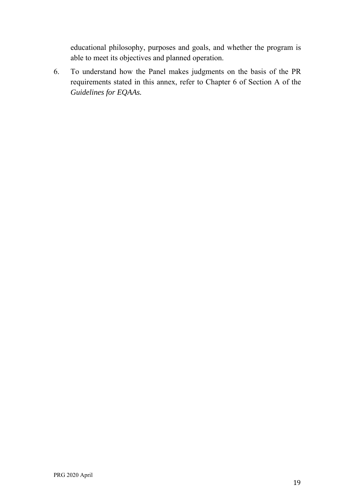educational philosophy, purposes and goals, and whether the program is able to meet its objectives and planned operation.

6. To understand how the Panel makes judgments on the basis of the PR requirements stated in this annex, refer to Chapter 6 of Section A of the *Guidelines for EQAAs.*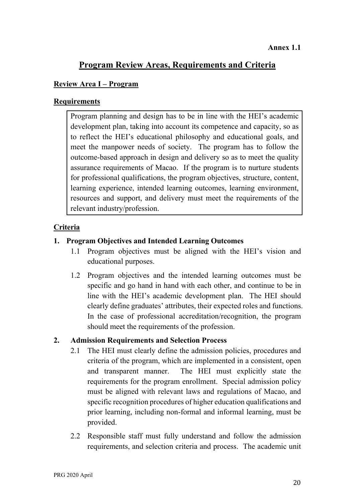### **Program Review Areas, Requirements and Criteria**

#### **Review Area I – Program**

#### **Requirements**

Program planning and design has to be in line with the HEI's academic development plan, taking into account its competence and capacity, so as to reflect the HEI's educational philosophy and educational goals, and meet the manpower needs of society. The program has to follow the outcome-based approach in design and delivery so as to meet the quality assurance requirements of Macao. If the program is to nurture students for professional qualifications, the program objectives, structure, content, learning experience, intended learning outcomes, learning environment, resources and support, and delivery must meet the requirements of the relevant industry/profession.

#### **Criteria**

#### **1. Program Objectives and Intended Learning Outcomes**

- 1.1 Program objectives must be aligned with the HEI's vision and educational purposes.
- 1.2 Program objectives and the intended learning outcomes must be specific and go hand in hand with each other, and continue to be in line with the HEI's academic development plan. The HEI should clearly define graduates' attributes, their expected roles and functions. In the case of professional accreditation/recognition, the program should meet the requirements of the profession.

#### **2. Admission Requirements and Selection Process**

- 2.1 The HEI must clearly define the admission policies, procedures and criteria of the program, which are implemented in a consistent, open and transparent manner. The HEI must explicitly state the requirements for the program enrollment. Special admission policy must be aligned with relevant laws and regulations of Macao, and specific recognition procedures of higher education qualifications and prior learning, including non-formal and informal learning, must be provided.
- 2.2 Responsible staff must fully understand and follow the admission requirements, and selection criteria and process. The academic unit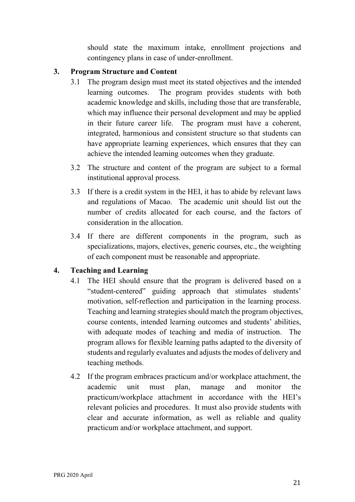should state the maximum intake, enrollment projections and contingency plans in case of under-enrollment.

#### **3. Program Structure and Content**

- 3.1 The program design must meet its stated objectives and the intended learning outcomes. The program provides students with both academic knowledge and skills, including those that are transferable, which may influence their personal development and may be applied in their future career life. The program must have a coherent, integrated, harmonious and consistent structure so that students can have appropriate learning experiences, which ensures that they can achieve the intended learning outcomes when they graduate.
- 3.2 The structure and content of the program are subject to a formal institutional approval process.
- 3.3 If there is a credit system in the HEI, it has to abide by relevant laws and regulations of Macao. The academic unit should list out the number of credits allocated for each course, and the factors of consideration in the allocation.
- 3.4 If there are different components in the program, such as specializations, majors, electives, generic courses, etc., the weighting of each component must be reasonable and appropriate.

#### **4. Teaching and Learning**

- 4.1 The HEI should ensure that the program is delivered based on a "student-centered" guiding approach that stimulates students' motivation, self-reflection and participation in the learning process. Teaching and learning strategies should match the program objectives, course contents, intended learning outcomes and students' abilities, with adequate modes of teaching and media of instruction. The program allows for flexible learning paths adapted to the diversity of students and regularly evaluates and adjusts the modes of delivery and teaching methods.
- 4.2 If the program embraces practicum and/or workplace attachment, the academic unit must plan, manage and monitor the practicum/workplace attachment in accordance with the HEI's relevant policies and procedures. It must also provide students with clear and accurate information, as well as reliable and quality practicum and/or workplace attachment, and support.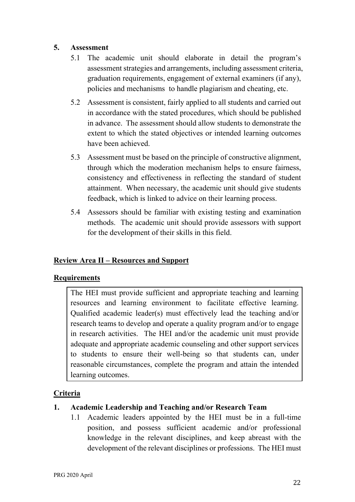#### **5. Assessment**

- 5.1 The academic unit should elaborate in detail the program's assessment strategies and arrangements, including assessment criteria, graduation requirements, engagement of external examiners (if any), policies and mechanisms to handle plagiarism and cheating, etc.
- 5.2 Assessment is consistent, fairly applied to all students and carried out in accordance with the stated procedures, which should be published in advance. The assessment should allow students to demonstrate the extent to which the stated objectives or intended learning outcomes have been achieved.
- 5.3 Assessment must be based on the principle of constructive alignment, through which the moderation mechanism helps to ensure fairness, consistency and effectiveness in reflecting the standard of student attainment. When necessary, the academic unit should give students feedback, which is linked to advice on their learning process.
- 5.4 Assessors should be familiar with existing testing and examination methods. The academic unit should provide assessors with support for the development of their skills in this field.

#### **Review Area II – Resources and Support**

#### **Requirements**

The HEI must provide sufficient and appropriate teaching and learning resources and learning environment to facilitate effective learning. Qualified academic leader(s) must effectively lead the teaching and/or research teams to develop and operate a quality program and/or to engage in research activities. The HEI and/or the academic unit must provide adequate and appropriate academic counseling and other support services to students to ensure their well-being so that students can, under reasonable circumstances, complete the program and attain the intended learning outcomes.

#### **Criteria**

#### **1. Academic Leadership and Teaching and/or Research Team**

1.1 Academic leaders appointed by the HEI must be in a full-time position, and possess sufficient academic and/or professional knowledge in the relevant disciplines, and keep abreast with the development of the relevant disciplines or professions. The HEI must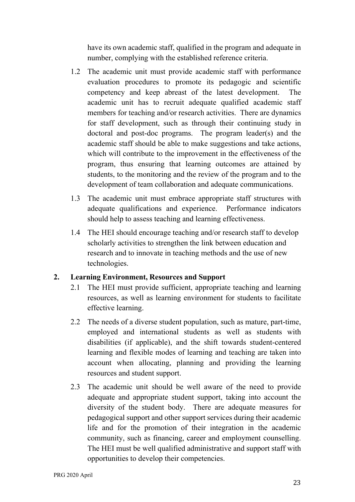have its own academic staff, qualified in the program and adequate in number, complying with the established reference criteria.

- 1.2 The academic unit must provide academic staff with performance evaluation procedures to promote its pedagogic and scientific competency and keep abreast of the latest development. The academic unit has to recruit adequate qualified academic staff members for teaching and/or research activities. There are dynamics for staff development, such as through their continuing study in doctoral and post-doc programs. The program leader(s) and the academic staff should be able to make suggestions and take actions, which will contribute to the improvement in the effectiveness of the program, thus ensuring that learning outcomes are attained by students, to the monitoring and the review of the program and to the development of team collaboration and adequate communications.
- 1.3 The academic unit must embrace appropriate staff structures with adequate qualifications and experience. Performance indicators should help to assess teaching and learning effectiveness.
- 1.4 The HEI should encourage teaching and/or research staff to develop scholarly activities to strengthen the link between education and research and to innovate in teaching methods and the use of new technologies.

#### **2. Learning Environment, Resources and Support**

- 2.1 The HEI must provide sufficient, appropriate teaching and learning resources, as well as learning environment for students to facilitate effective learning.
- 2.2 The needs of a diverse student population, such as mature, part-time, employed and international students as well as students with disabilities (if applicable), and the shift towards student-centered learning and flexible modes of learning and teaching are taken into account when allocating, planning and providing the learning resources and student support.
- 2.3 The academic unit should be well aware of the need to provide adequate and appropriate student support, taking into account the diversity of the student body. There are adequate measures for pedagogical support and other support services during their academic life and for the promotion of their integration in the academic community, such as financing, career and employment counselling. The HEI must be well qualified administrative and support staff with opportunities to develop their competencies.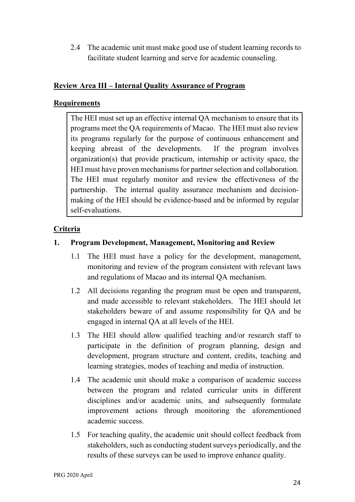2.4 The academic unit must make good use of student learning records to facilitate student learning and serve for academic counseling.

#### **Review Area III – Internal Quality Assurance of Program**

#### **Requirements**

The HEI must set up an effective internal QA mechanism to ensure that its programs meet the QA requirements of Macao. The HEI must also review its programs regularly for the purpose of continuous enhancement and keeping abreast of the developments. If the program involves organization(s) that provide practicum, internship or activity space, the HEI must have proven mechanisms for partner selection and collaboration. The HEI must regularly monitor and review the effectiveness of the partnership. The internal quality assurance mechanism and decisionmaking of the HEI should be evidence-based and be informed by regular self-evaluations.

#### **Criteria**

#### **1. Program Development, Management, Monitoring and Review**

- 1.1 The HEI must have a policy for the development, management, monitoring and review of the program consistent with relevant laws and regulations of Macao and its internal QA mechanism.
- 1.2 All decisions regarding the program must be open and transparent, and made accessible to relevant stakeholders. The HEI should let stakeholders beware of and assume responsibility for QA and be engaged in internal QA at all levels of the HEI.
- 1.3 The HEI should allow qualified teaching and/or research staff to participate in the definition of program planning, design and development, program structure and content, credits, teaching and learning strategies, modes of teaching and media of instruction.
- 1.4 The academic unit should make a comparison of academic success between the program and related curricular units in different disciplines and/or academic units, and subsequently formulate improvement actions through monitoring the aforementioned academic success.
- 1.5 For teaching quality, the academic unit should collect feedback from stakeholders, such as conducting student surveys periodically, and the results of these surveys can be used to improve enhance quality.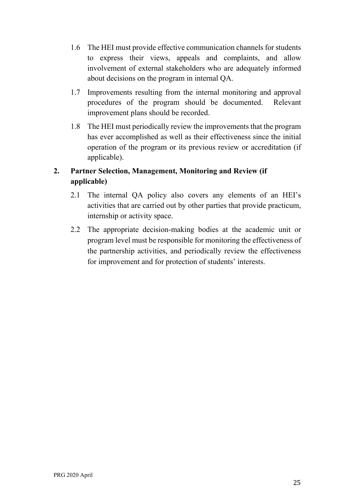- 1.6 The HEI must provide effective communication channels for students to express their views, appeals and complaints, and allow involvement of external stakeholders who are adequately informed about decisions on the program in internal QA.
- 1.7 Improvements resulting from the internal monitoring and approval procedures of the program should be documented. Relevant improvement plans should be recorded.
- 1.8 The HEI must periodically review the improvements that the program has ever accomplished as well as their effectiveness since the initial operation of the program or its previous review or accreditation (if applicable).

#### **2. Partner Selection, Management, Monitoring and Review (if applicable)**

- 2.1 The internal QA policy also covers any elements of an HEI's activities that are carried out by other parties that provide practicum, internship or activity space.
- 2.2 The appropriate decision-making bodies at the academic unit or program level must be responsible for monitoring the effectiveness of the partnership activities, and periodically review the effectiveness for improvement and for protection of students' interests.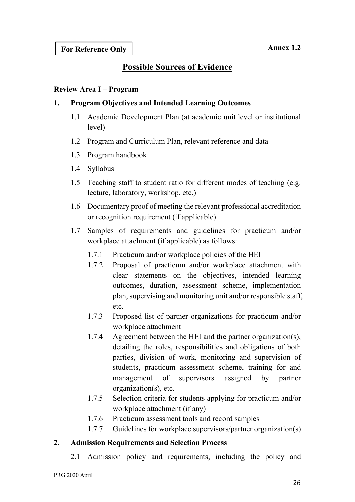## **Possible Sources of Evidence**

#### **Review Area I – Program**

#### **1. Program Objectives and Intended Learning Outcomes**

- 1.1 Academic Development Plan (at academic unit level or institutional level)
- 1.2 Program and Curriculum Plan, relevant reference and data
- 1.3 Program handbook
- 1.4 Syllabus
- 1.5 Teaching staff to student ratio for different modes of teaching (e.g. lecture, laboratory, workshop, etc.)
- 1.6 Documentary proof of meeting the relevant professional accreditation or recognition requirement (if applicable)
- 1.7 Samples of requirements and guidelines for practicum and/or workplace attachment (if applicable) as follows:
	- 1.7.1 Practicum and/or workplace policies of the HEI
	- 1.7.2 Proposal of practicum and/or workplace attachment with clear statements on the objectives, intended learning outcomes, duration, assessment scheme, implementation plan, supervising and monitoring unit and/or responsible staff, etc.
	- 1.7.3 Proposed list of partner organizations for practicum and/or workplace attachment
	- 1.7.4 Agreement between the HEI and the partner organization(s), detailing the roles, responsibilities and obligations of both parties, division of work, monitoring and supervision of students, practicum assessment scheme, training for and management of supervisors assigned by partner organization(s), etc.
	- 1.7.5 Selection criteria for students applying for practicum and/or workplace attachment (if any)
	- 1.7.6 Practicum assessment tools and record samples
	- 1.7.7 Guidelines for workplace supervisors/partner organization(s)

#### **2. Admission Requirements and Selection Process**

2.1 Admission policy and requirements, including the policy and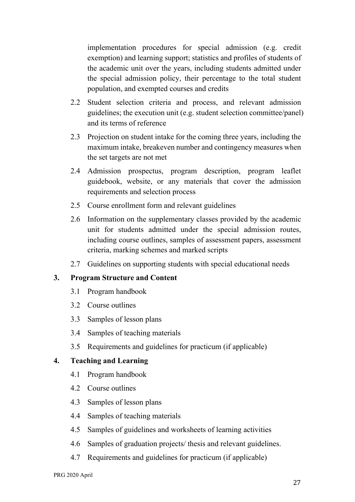implementation procedures for special admission (e.g. credit exemption) and learning support; statistics and profiles of students of the academic unit over the years, including students admitted under the special admission policy, their percentage to the total student population, and exempted courses and credits

- 2.2 Student selection criteria and process, and relevant admission guidelines; the execution unit (e.g. student selection committee/panel) and its terms of reference
- 2.3 Projection on student intake for the coming three years, including the maximum intake, breakeven number and contingency measures when the set targets are not met
- 2.4 Admission prospectus, program description, program leaflet guidebook, website, or any materials that cover the admission requirements and selection process
- 2.5 Course enrollment form and relevant guidelines
- 2.6 Information on the supplementary classes provided by the academic unit for students admitted under the special admission routes, including course outlines, samples of assessment papers, assessment criteria, marking schemes and marked scripts
- 2.7 Guidelines on supporting students with special educational needs

#### **3. Program Structure and Content**

- 3.1 Program handbook
- 3.2 Course outlines
- 3.3 Samples of lesson plans
- 3.4 Samples of teaching materials
- 3.5 Requirements and guidelines for practicum (if applicable)

#### **4. Teaching and Learning**

- 4.1 Program handbook
- 4.2 Course outlines
- 4.3 Samples of lesson plans
- 4.4 Samples of teaching materials
- 4.5 Samples of guidelines and worksheets of learning activities
- 4.6 Samples of graduation projects/ thesis and relevant guidelines.
- 4.7 Requirements and guidelines for practicum (if applicable)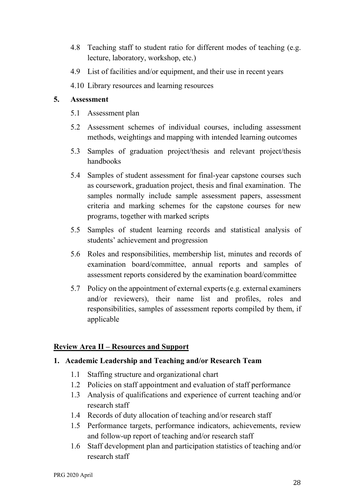- 4.8 Teaching staff to student ratio for different modes of teaching (e.g. lecture, laboratory, workshop, etc.)
- 4.9 List of facilities and/or equipment, and their use in recent years
- 4.10 Library resources and learning resources

#### **5. Assessment**

- 5.1 Assessment plan
- 5.2 Assessment schemes of individual courses, including assessment methods, weightings and mapping with intended learning outcomes
- 5.3 Samples of graduation project/thesis and relevant project/thesis handbooks
- 5.4 Samples of student assessment for final-year capstone courses such as coursework, graduation project, thesis and final examination. The samples normally include sample assessment papers, assessment criteria and marking schemes for the capstone courses for new programs, together with marked scripts
- 5.5 Samples of student learning records and statistical analysis of students' achievement and progression
- 5.6 Roles and responsibilities, membership list, minutes and records of examination board/committee, annual reports and samples of assessment reports considered by the examination board/committee
- 5.7 Policy on the appointment of external experts (e.g. external examiners and/or reviewers), their name list and profiles, roles and responsibilities, samples of assessment reports compiled by them, if applicable

#### **Review Area II – Resources and Support**

#### **1. Academic Leadership and Teaching and/or Research Team**

- 1.1 Staffing structure and organizational chart
- 1.2 Policies on staff appointment and evaluation of staff performance
- 1.3 Analysis of qualifications and experience of current teaching and/or research staff
- 1.4 Records of duty allocation of teaching and/or research staff
- 1.5 Performance targets, performance indicators, achievements, review and follow-up report of teaching and/or research staff
- 1.6 Staff development plan and participation statistics of teaching and/or research staff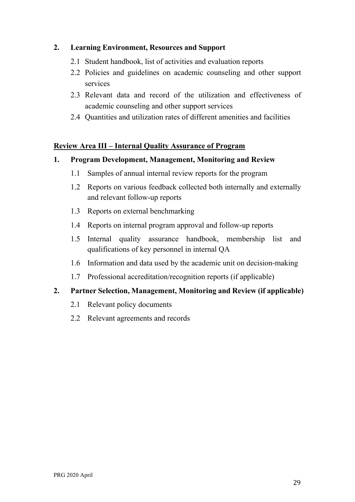#### **2. Learning Environment, Resources and Support**

- 2.1 Student handbook, list of activities and evaluation reports
- 2.2 Policies and guidelines on academic counseling and other support services
- 2.3 Relevant data and record of the utilization and effectiveness of academic counseling and other support services
- 2.4 Quantities and utilization rates of different amenities and facilities

#### **Review Area III – Internal Quality Assurance of Program**

#### **1. Program Development, Management, Monitoring and Review**

- 1.1 Samples of annual internal review reports for the program
- 1.2 Reports on various feedback collected both internally and externally and relevant follow-up reports
- 1.3 Reports on external benchmarking
- 1.4 Reports on internal program approval and follow-up reports
- 1.5 Internal quality assurance handbook, membership list and qualifications of key personnel in internal QA
- 1.6 Information and data used by the academic unit on decision-making
- 1.7 Professional accreditation/recognition reports (if applicable)

#### **2. Partner Selection, Management, Monitoring and Review (if applicable)**

- 2.1 Relevant policy documents
- 2.2 Relevant agreements and records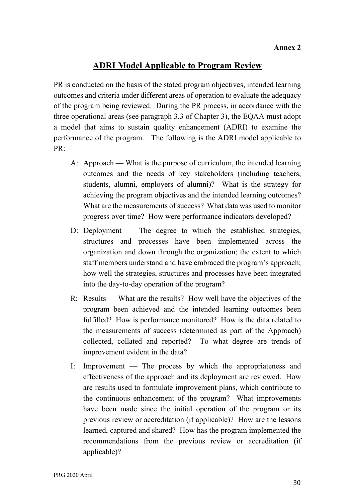### **ADRI Model Applicable to Program Review**

PR is conducted on the basis of the stated program objectives, intended learning outcomes and criteria under different areas of operation to evaluate the adequacy of the program being reviewed. During the PR process, in accordance with the three operational areas (see paragraph 3.3 of Chapter 3), the EQAA must adopt a model that aims to sustain quality enhancement (ADRI) to examine the performance of the program. The following is the ADRI model applicable to PR:

- A: Approach What is the purpose of curriculum, the intended learning outcomes and the needs of key stakeholders (including teachers, students, alumni, employers of alumni)? What is the strategy for achieving the program objectives and the intended learning outcomes? What are the measurements of success? What data was used to monitor progress over time? How were performance indicators developed?
- D: Deployment The degree to which the established strategies, structures and processes have been implemented across the organization and down through the organization; the extent to which staff members understand and have embraced the program's approach; how well the strategies, structures and processes have been integrated into the day-to-day operation of the program?
- R: Results What are the results? How well have the objectives of the program been achieved and the intended learning outcomes been fulfilled? How is performance monitored? How is the data related to the measurements of success (determined as part of the Approach) collected, collated and reported? To what degree are trends of improvement evident in the data?
- I: Improvement The process by which the appropriateness and effectiveness of the approach and its deployment are reviewed. How are results used to formulate improvement plans, which contribute to the continuous enhancement of the program? What improvements have been made since the initial operation of the program or its previous review or accreditation (if applicable)? How are the lessons learned, captured and shared? How has the program implemented the recommendations from the previous review or accreditation (if applicable)?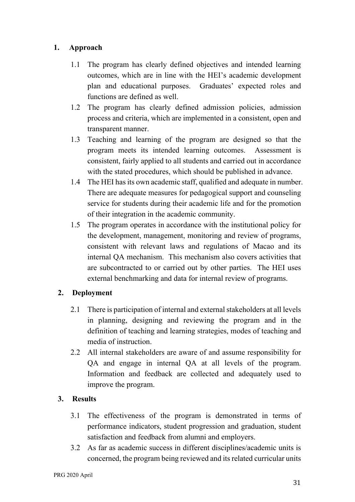#### **1. Approach**

- 1.1 The program has clearly defined objectives and intended learning outcomes, which are in line with the HEI's academic development plan and educational purposes. Graduates' expected roles and functions are defined as well.
- 1.2 The program has clearly defined admission policies, admission process and criteria, which are implemented in a consistent, open and transparent manner.
- 1.3 Teaching and learning of the program are designed so that the program meets its intended learning outcomes. Assessment is consistent, fairly applied to all students and carried out in accordance with the stated procedures, which should be published in advance.
- 1.4 The HEI has its own academic staff, qualified and adequate in number. There are adequate measures for pedagogical support and counseling service for students during their academic life and for the promotion of their integration in the academic community.
- 1.5 The program operates in accordance with the institutional policy for the development, management, monitoring and review of programs, consistent with relevant laws and regulations of Macao and its internal QA mechanism. This mechanism also covers activities that are subcontracted to or carried out by other parties. The HEI uses external benchmarking and data for internal review of programs.

#### **2. Deployment**

- 2.1 There is participation of internal and external stakeholders at all levels in planning, designing and reviewing the program and in the definition of teaching and learning strategies, modes of teaching and media of instruction.
- 2.2 All internal stakeholders are aware of and assume responsibility for QA and engage in internal QA at all levels of the program. Information and feedback are collected and adequately used to improve the program.

#### **3. Results**

- 3.1 The effectiveness of the program is demonstrated in terms of performance indicators, student progression and graduation, student satisfaction and feedback from alumni and employers.
- 3.2 As far as academic success in different disciplines/academic units is concerned, the program being reviewed and its related curricular units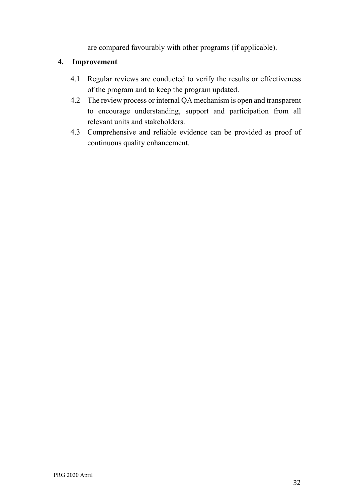are compared favourably with other programs (if applicable).

#### **4. Improvement**

- 4.1 Regular reviews are conducted to verify the results or effectiveness of the program and to keep the program updated.
- 4.2 The review process or internal QA mechanism is open and transparent to encourage understanding, support and participation from all relevant units and stakeholders.
- 4.3 Comprehensive and reliable evidence can be provided as proof of continuous quality enhancement.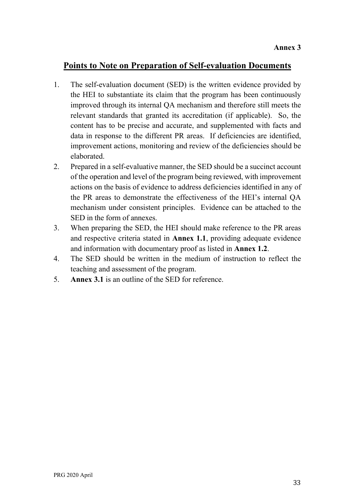## **Points to Note on Preparation of Self-evaluation Documents**

- 1. The self-evaluation document (SED) is the written evidence provided by the HEI to substantiate its claim that the program has been continuously improved through its internal QA mechanism and therefore still meets the relevant standards that granted its accreditation (if applicable). So, the content has to be precise and accurate, and supplemented with facts and data in response to the different PR areas. If deficiencies are identified, improvement actions, monitoring and review of the deficiencies should be elaborated.
- 2. Prepared in a self-evaluative manner, the SED should be a succinct account of the operation and level of the program being reviewed, with improvement actions on the basis of evidence to address deficiencies identified in any of the PR areas to demonstrate the effectiveness of the HEI's internal QA mechanism under consistent principles. Evidence can be attached to the SED in the form of annexes.
- 3. When preparing the SED, the HEI should make reference to the PR areas and respective criteria stated in **Annex 1.1**, providing adequate evidence and information with documentary proof as listed in **Annex 1.2**.
- 4. The SED should be written in the medium of instruction to reflect the teaching and assessment of the program.
- 5. **Annex 3.1** is an outline of the SED for reference.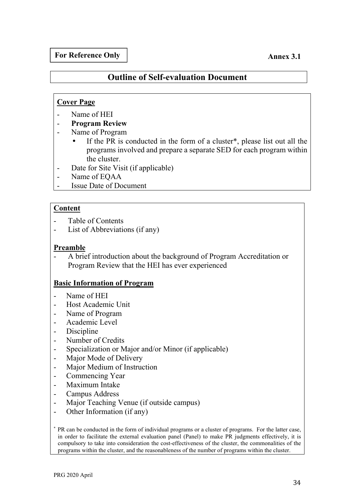#### **For Reference Only**

#### **Annex 3.1**

#### **Outline of Self-evaluation Document**

#### **Cover Page**

- Name of HEI
- **Program Review**
- Name of Program
	- If the PR is conducted in the form of a cluster\*, please list out all the programs involved and prepare a separate SED for each program within the cluster.
- Date for Site Visit (if applicable)
- Name of EQAA
- Issue Date of Document

#### **Content**

- Table of Contents
- List of Abbreviations (if any)

#### **Preamble**

- A brief introduction about the background of Program Accreditation or Program Review that the HEI has ever experienced

#### **Basic Information of Program**

- Name of HEI
- Host Academic Unit
- Name of Program
- Academic Level
- Discipline
- Number of Credits
- Specialization or Major and/or Minor (if applicable)
- Major Mode of Delivery
- Major Medium of Instruction
- Commencing Year
- Maximum Intake
- Campus Address
- Major Teaching Venue (if outside campus)
- Other Information (if any)

\* PR can be conducted in the form of individual programs or a cluster of programs. For the latter case, in order to facilitate the external evaluation panel (Panel) to make PR judgments effectively, it is compulsory to take into consideration the cost-effectiveness of the cluster, the commonalities of the programs within the cluster, and the reasonableness of the number of programs within the cluster.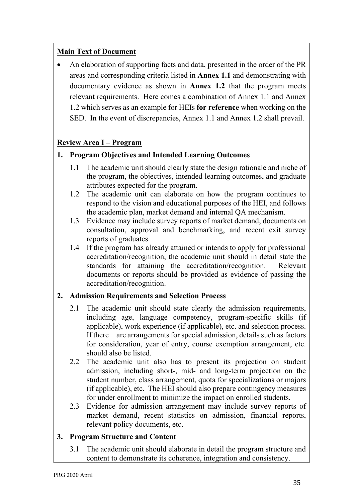#### **Main Text of Document**

 An elaboration of supporting facts and data, presented in the order of the PR areas and corresponding criteria listed in **Annex 1.1** and demonstrating with documentary evidence as shown in **Annex 1.2** that the program meets relevant requirements. Here comes a combination of Annex 1.1 and Annex 1.2 which serves as an example for HEIs **for reference** when working on the SED. In the event of discrepancies, Annex 1.1 and Annex 1.2 shall prevail.

#### **Review Area I – Program**

#### **1. Program Objectives and Intended Learning Outcomes**

- 1.1 The academic unit should clearly state the design rationale and niche of the program, the objectives, intended learning outcomes, and graduate attributes expected for the program.
- 1.2 The academic unit can elaborate on how the program continues to respond to the vision and educational purposes of the HEI, and follows the academic plan, market demand and internal QA mechanism.
- 1.3 Evidence may include survey reports of market demand, documents on consultation, approval and benchmarking, and recent exit survey reports of graduates.
- 1.4 If the program has already attained or intends to apply for professional accreditation/recognition, the academic unit should in detail state the standards for attaining the accreditation/recognition. Relevant documents or reports should be provided as evidence of passing the accreditation/recognition.

#### **2. Admission Requirements and Selection Process**

- 2.1 The academic unit should state clearly the admission requirements, including age, language competency, program-specific skills (if applicable), work experience (if applicable), etc. and selection process. If there are arrangements for special admission, details such as factors for consideration, year of entry, course exemption arrangement, etc. should also be listed.
- 2.2 The academic unit also has to present its projection on student admission, including short-, mid- and long-term projection on the student number, class arrangement, quota for specializations or majors (if applicable), etc. The HEI should also prepare contingency measures for under enrollment to minimize the impact on enrolled students.
- 2.3 Evidence for admission arrangement may include survey reports of market demand, recent statistics on admission, financial reports, relevant policy documents, etc.

#### **3. Program Structure and Content**

3.1 The academic unit should elaborate in detail the program structure and content to demonstrate its coherence, integration and consistency.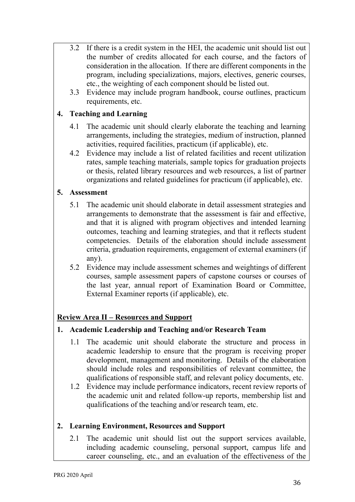- 3.2 If there is a credit system in the HEI, the academic unit should list out the number of credits allocated for each course, and the factors of consideration in the allocation. If there are different components in the program, including specializations, majors, electives, generic courses, etc., the weighting of each component should be listed out.
- 3.3 Evidence may include program handbook, course outlines, practicum requirements, etc.

#### **4. Teaching and Learning**

- 4.1 The academic unit should clearly elaborate the teaching and learning arrangements, including the strategies, medium of instruction, planned activities, required facilities, practicum (if applicable), etc.
- 4.2 Evidence may include a list of related facilities and recent utilization rates, sample teaching materials, sample topics for graduation projects or thesis, related library resources and web resources, a list of partner organizations and related guidelines for practicum (if applicable), etc.

#### **5. Assessment**

- 5.1 The academic unit should elaborate in detail assessment strategies and arrangements to demonstrate that the assessment is fair and effective, and that it is aligned with program objectives and intended learning outcomes, teaching and learning strategies, and that it reflects student competencies. Details of the elaboration should include assessment criteria, graduation requirements, engagement of external examiners (if any).
- 5.2 Evidence may include assessment schemes and weightings of different courses, sample assessment papers of capstone courses or courses of the last year, annual report of Examination Board or Committee, External Examiner reports (if applicable), etc.

#### **Review Area II – Resources and Support**

#### **1. Academic Leadership and Teaching and/or Research Team**

- 1.1 The academic unit should elaborate the structure and process in academic leadership to ensure that the program is receiving proper development, management and monitoring. Details of the elaboration should include roles and responsibilities of relevant committee, the qualifications of responsible staff, and relevant policy documents, etc.
- 1.2 Evidence may include performance indicators, recent review reports of the academic unit and related follow-up reports, membership list and qualifications of the teaching and/or research team, etc.

#### **2. Learning Environment, Resources and Support**

2.1 The academic unit should list out the support services available, including academic counseling, personal support, campus life and career counseling, etc., and an evaluation of the effectiveness of the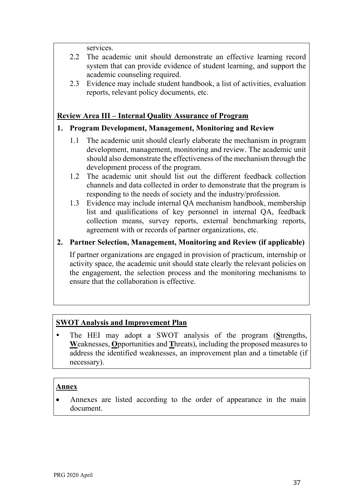services.

- 2.2 The academic unit should demonstrate an effective learning record system that can provide evidence of student learning, and support the academic counseling required.
- 2.3 Evidence may include student handbook, a list of activities, evaluation reports, relevant policy documents, etc.

#### **Review Area III – Internal Quality Assurance of Program**

#### **1. Program Development, Management, Monitoring and Review**

- 1.1 The academic unit should clearly elaborate the mechanism in program development, management, monitoring and review. The academic unit should also demonstrate the effectiveness of the mechanism through the development process of the program.
- 1.2 The academic unit should list out the different feedback collection channels and data collected in order to demonstrate that the program is responding to the needs of society and the industry/profession.
- 1.3 Evidence may include internal QA mechanism handbook, membership list and qualifications of key personnel in internal QA, feedback collection means, survey reports, external benchmarking reports, agreement with or records of partner organizations, etc.

#### **2. Partner Selection, Management, Monitoring and Review (if applicable)**

If partner organizations are engaged in provision of practicum, internship or activity space, the academic unit should state clearly the relevant policies on the engagement, the selection process and the monitoring mechanisms to ensure that the collaboration is effective.

#### **SWOT Analysis and Improvement Plan**

 The HEI may adopt a SWOT analysis of the program (**S**trengths, **W**eaknesses, **O**pportunities and **T**hreats), including the proposed measures to address the identified weaknesses, an improvement plan and a timetable (if necessary).

#### **Annex**

 Annexes are listed according to the order of appearance in the main document.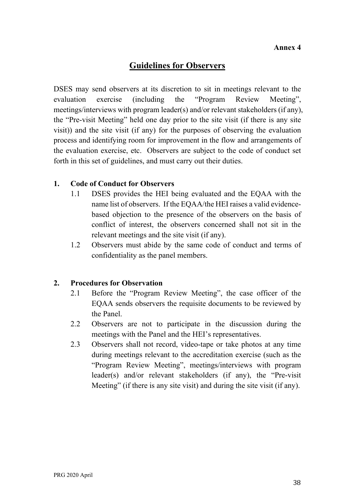## **Guidelines for Observers**

DSES may send observers at its discretion to sit in meetings relevant to the evaluation exercise (including the "Program Review Meeting", meetings/interviews with program leader(s) and/or relevant stakeholders (if any), the "Pre-visit Meeting" held one day prior to the site visit (if there is any site visit)) and the site visit (if any) for the purposes of observing the evaluation process and identifying room for improvement in the flow and arrangements of the evaluation exercise, etc. Observers are subject to the code of conduct set forth in this set of guidelines, and must carry out their duties.

#### **1. Code of Conduct for Observers**

- 1.1 DSES provides the HEI being evaluated and the EQAA with the name list of observers. If the EQAA/the HEI raises a valid evidencebased objection to the presence of the observers on the basis of conflict of interest, the observers concerned shall not sit in the relevant meetings and the site visit (if any).
- 1.2 Observers must abide by the same code of conduct and terms of confidentiality as the panel members.

#### **2. Procedures for Observation**

- 2.1 Before the "Program Review Meeting", the case officer of the EQAA sends observers the requisite documents to be reviewed by the Panel.
- 2.2 Observers are not to participate in the discussion during the meetings with the Panel and the HEI's representatives.
- 2.3 Observers shall not record, video-tape or take photos at any time during meetings relevant to the accreditation exercise (such as the "Program Review Meeting", meetings/interviews with program leader(s) and/or relevant stakeholders (if any), the "Pre-visit Meeting" (if there is any site visit) and during the site visit (if any).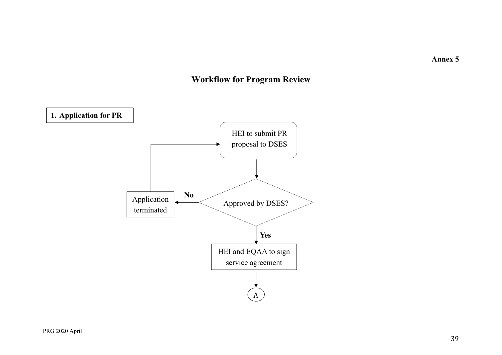**Annex 5**

## **Workflow for Program Review**

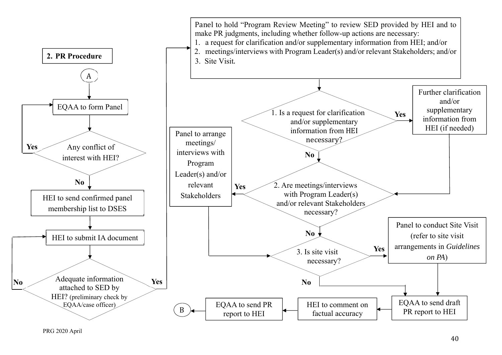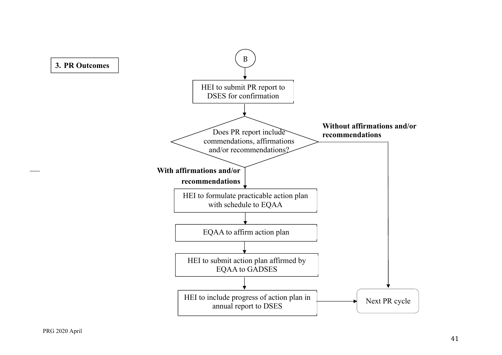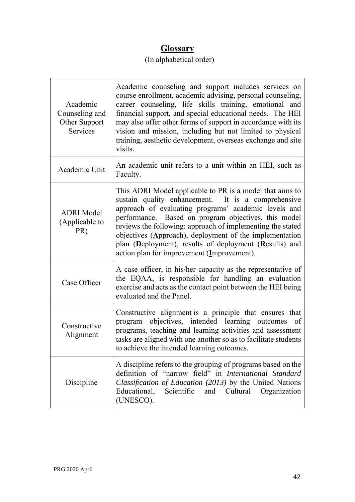## **Glossary**

## (In alphabetical order)

| Academic<br>Counseling and<br>Other Support<br><b>Services</b> | Academic counseling and support includes services on<br>course enrollment, academic advising, personal counseling,<br>career counseling, life skills training, emotional and<br>financial support, and special educational needs. The HEI<br>may also offer other forms of support in accordance with its<br>vision and mission, including but not limited to physical<br>training, aesthetic development, overseas exchange and site<br>visits.                   |
|----------------------------------------------------------------|--------------------------------------------------------------------------------------------------------------------------------------------------------------------------------------------------------------------------------------------------------------------------------------------------------------------------------------------------------------------------------------------------------------------------------------------------------------------|
| Academic Unit                                                  | An academic unit refers to a unit within an HEI, such as<br>Faculty.                                                                                                                                                                                                                                                                                                                                                                                               |
| <b>ADRI</b> Model<br>(Applicable to<br>PR)                     | This ADRI Model applicable to PR is a model that aims to<br>sustain quality enhancement. It is a comprehensive<br>approach of evaluating programs' academic levels and<br>performance. Based on program objectives, this model<br>reviews the following: approach of implementing the stated<br>objectives $(Approach)$ , deployment of the implementation<br>plan (Deployment), results of deployment (Results) and<br>action plan for improvement (Improvement). |
| Case Officer                                                   | A case officer, in his/her capacity as the representative of<br>the EQAA, is responsible for handling an evaluation<br>exercise and acts as the contact point between the HEI being<br>evaluated and the Panel.                                                                                                                                                                                                                                                    |
| Constructive<br>Alignment                                      | Constructive alignment is a principle that ensures that<br>objectives, intended learning outcomes<br>program<br>- of<br>programs, teaching and learning activities and assessment<br>tasks are aligned with one another so as to facilitate students<br>to achieve the intended learning outcomes.                                                                                                                                                                 |
| Discipline                                                     | A discipline refers to the grouping of programs based on the<br>definition of "narrow field" in International Standard<br>Classification of Education (2013) by the United Nations<br>Educational,<br>Scientific<br>and<br>Cultural<br>Organization<br>(UNESCO).                                                                                                                                                                                                   |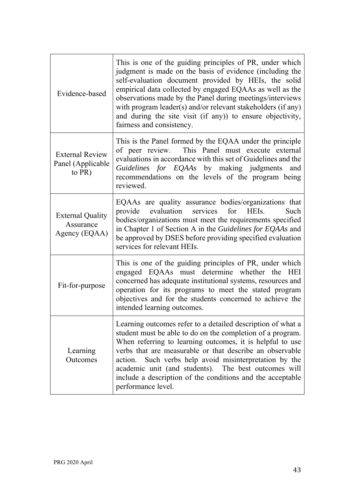| Evidence-based                                        | This is one of the guiding principles of PR, under which<br>judgment is made on the basis of evidence (including the<br>self-evaluation document provided by HEIs, the solid<br>empirical data collected by engaged EQAAs as well as the<br>observations made by the Panel during meetings/interviews<br>with program leader(s) and/or relevant stakeholders (if any)<br>and during the site visit (if any)) to ensure objectivity,<br>fairness and consistency. |
|-------------------------------------------------------|------------------------------------------------------------------------------------------------------------------------------------------------------------------------------------------------------------------------------------------------------------------------------------------------------------------------------------------------------------------------------------------------------------------------------------------------------------------|
| <b>External Review</b><br>Panel (Applicable<br>to PR) | This is the Panel formed by the EQAA under the principle<br>of peer review. This Panel must execute external<br>evaluations in accordance with this set of Guidelines and the<br>Guidelines for EQAAs by making judgments and<br>recommendations on the levels of the program being<br>reviewed.                                                                                                                                                                 |
| <b>External Quality</b><br>Assurance<br>Agency (EQAA) | EQAAs are quality assurance bodies/organizations that<br>evaluation<br>services<br>provide<br>for HEIs.<br>Such<br>bodies/organizations must meet the requirements specified<br>in Chapter 1 of Section A in the Guidelines for EQAAs and<br>be approved by DSES before providing specified evaluation<br>services for relevant HEIs.                                                                                                                            |
| Fit-for-purpose                                       | This is one of the guiding principles of PR, under which<br>engaged EQAAs must determine whether the HEI<br>concerned has adequate institutional systems, resources and<br>operation for its programs to meet the stated program<br>objectives and for the students concerned to achieve the<br>intended learning outcomes.                                                                                                                                      |
| Learning<br>Outcomes                                  | Learning outcomes refer to a detailed description of what a<br>student must be able to do on the completion of a program.<br>When referring to learning outcomes, it is helpful to use<br>verbs that are measurable or that describe an observable<br>Such verbs help avoid misinterpretation by the<br>action.<br>academic unit (and students). The best outcomes will<br>include a description of the conditions and the acceptable<br>performance level.      |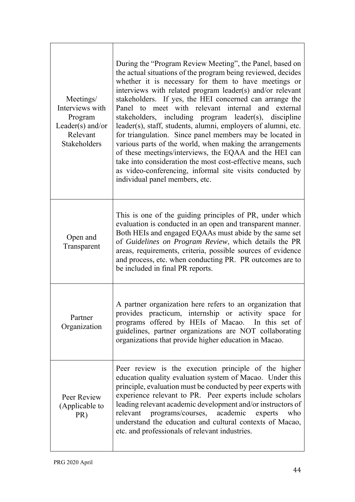| Meetings/<br>Interviews with<br>Program<br>Leader(s) and/or<br>Relevant<br><b>Stakeholders</b> | During the "Program Review Meeting", the Panel, based on<br>the actual situations of the program being reviewed, decides<br>whether it is necessary for them to have meetings or<br>interviews with related program leader(s) and/or relevant<br>stakeholders. If yes, the HEI concerned can arrange the<br>Panel to meet with relevant internal and external<br>stakeholders, including program leader(s), discipline<br>leader(s), staff, students, alumni, employers of alumni, etc.<br>for triangulation. Since panel members may be located in<br>various parts of the world, when making the arrangements<br>of these meetings/interviews, the EQAA and the HEI can<br>take into consideration the most cost-effective means, such<br>as video-conferencing, informal site visits conducted by<br>individual panel members, etc. |
|------------------------------------------------------------------------------------------------|----------------------------------------------------------------------------------------------------------------------------------------------------------------------------------------------------------------------------------------------------------------------------------------------------------------------------------------------------------------------------------------------------------------------------------------------------------------------------------------------------------------------------------------------------------------------------------------------------------------------------------------------------------------------------------------------------------------------------------------------------------------------------------------------------------------------------------------|
| Open and<br>Transparent                                                                        | This is one of the guiding principles of PR, under which<br>evaluation is conducted in an open and transparent manner.<br>Both HEIs and engaged EQAAs must abide by the same set<br>of Guidelines on Program Review, which details the PR<br>areas, requirements, criteria, possible sources of evidence<br>and process, etc. when conducting PR. PR outcomes are to<br>be included in final PR reports.                                                                                                                                                                                                                                                                                                                                                                                                                               |
| Partner<br>Organization                                                                        | A partner organization here refers to an organization that<br>provides practicum, internship or activity space for<br>programs offered by HEIs of Macao. In this set of<br>guidelines, partner organizations are NOT collaborating<br>organizations that provide higher education in Macao.                                                                                                                                                                                                                                                                                                                                                                                                                                                                                                                                            |
| Peer Review<br>(Applicable to<br>PR)                                                           | Peer review is the execution principle of the higher<br>education quality evaluation system of Macao. Under this<br>principle, evaluation must be conducted by peer experts with<br>experience relevant to PR. Peer experts include scholars<br>leading relevant academic development and/or instructors of<br>relevant<br>programs/courses, academic<br>experts<br>who<br>understand the education and cultural contexts of Macao,<br>etc. and professionals of relevant industries.                                                                                                                                                                                                                                                                                                                                                  |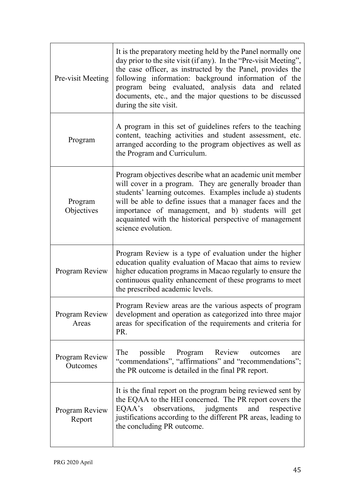| Pre-visit Meeting          | It is the preparatory meeting held by the Panel normally one<br>day prior to the site visit (if any). In the "Pre-visit Meeting",<br>the case officer, as instructed by the Panel, provides the<br>following information: background information of the<br>program being evaluated, analysis data and related<br>documents, etc., and the major questions to be discussed<br>during the site visit. |
|----------------------------|-----------------------------------------------------------------------------------------------------------------------------------------------------------------------------------------------------------------------------------------------------------------------------------------------------------------------------------------------------------------------------------------------------|
| Program                    | A program in this set of guidelines refers to the teaching<br>content, teaching activities and student assessment, etc.<br>arranged according to the program objectives as well as<br>the Program and Curriculum.                                                                                                                                                                                   |
| Program<br>Objectives      | Program objectives describe what an academic unit member<br>will cover in a program. They are generally broader than<br>students' learning outcomes. Examples include a) students<br>will be able to define issues that a manager faces and the<br>importance of management, and b) students will get<br>acquainted with the historical perspective of management<br>science evolution.             |
| Program Review             | Program Review is a type of evaluation under the higher<br>education quality evaluation of Macao that aims to review<br>higher education programs in Macao regularly to ensure the<br>continuous quality enhancement of these programs to meet<br>the prescribed academic levels.                                                                                                                   |
| Program Review<br>Areas    | Program Review areas are the various aspects of program<br>development and operation as categorized into three major<br>areas for specification of the requirements and criteria for<br>PR.                                                                                                                                                                                                         |
| Program Review<br>Outcomes | The<br>Program<br>Review<br>possible<br>outcomes<br>are<br>"commendations", "affirmations" and "recommendations";<br>the PR outcome is detailed in the final PR report.                                                                                                                                                                                                                             |
| Program Review<br>Report   | It is the final report on the program being reviewed sent by<br>the EQAA to the HEI concerned. The PR report covers the<br>observations, judgments<br>EQAA's<br>and<br>respective<br>justifications according to the different PR areas, leading to<br>the concluding PR outcome.                                                                                                                   |